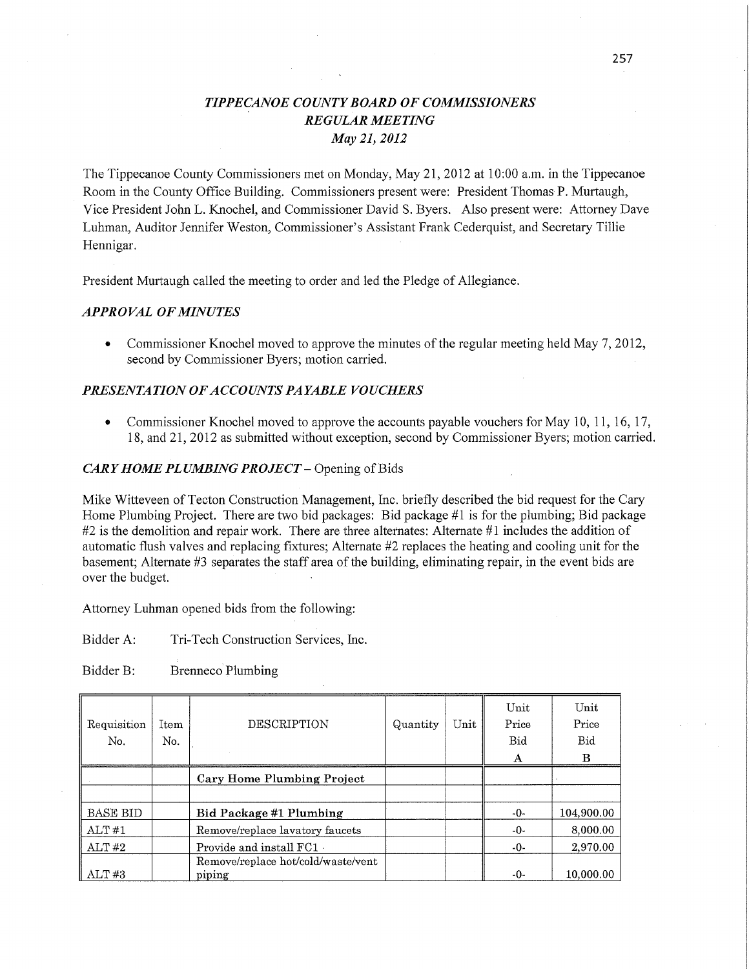# *TIPPE CANOE* C0 UN *T Y BOARD* OF *COMMISSIONERS REGULAR MEETING*  May 21, *2012*

The Tippecanoe County Commissioners met on Monday, May 21, 2012 at 10:00 am. in the Tippecanoe Room in the County **Office** Building. Commissioners present were: President Thomas P. Murtaugh, Vice President John L. Knochel, and Commissioner David S. Byers. Also present were: Attorney Dave Luhman, Auditor Jennifer Weston, Commissioner's Assistant Frank Cederquist, and Secretary Tillie Hennigar.

President Murtaugh called the meeting to order and led the Pledge of Allegiance.

## *APPROVAL* OF *MINUTES*

**0** Commissioner Knochel moved to approve the minutes of the regular meeting held May 7, 2012, second by Commissioner Byers; motion carried. '

## **PRESENTATION OF ACCOUNTS PAYABLE VOUCHERS**

*0* Commissioner Knochel moved to approve the accounts payable vouchers for May 10, 11, 16, 17, 18, and 21, 2012 as submitted without exception, second by Commissioner Byers; motion carried.

#### *CARY HOME PLUMBING PROJECT* **—** Opening of Bids

Mike Witteveen of Tecton Construction Management, **Inc.** briefly described the bid request for the Cary Home Plumbing Project. There are two bid packages: Bid package #1 is for the plumbing; Bid package #2 is the demolition and repair work. There are three alternates: Alternate #1 includes the addition of automatic flush valves and replacing fixtures; Alternate #2 replaces the heating and cooling unit for the basement; Alternate #3 separates the staff area of the building, eliminating repair, in the event bids are over the budget.

Attorney Luhman opened bids from the following:

Bidder A: Tri-Tech Construction Services, Inc.

Bidder B: Brenneco Plumbing

| Requisition<br>No. | Item<br>No. | DESCRIPTION                                  | Quantity | Unit | Unit<br>Price<br>Bid<br>$\mathbf{A}$ | Unit<br>Price<br>Bid<br>B |
|--------------------|-------------|----------------------------------------------|----------|------|--------------------------------------|---------------------------|
|                    |             | <b>Cary Home Plumbing Project</b>            |          |      |                                      |                           |
|                    |             |                                              |          |      |                                      |                           |
| <b>BASE BID</b>    |             | Bid Package #1 Plumbing                      |          |      | -0-                                  | 104,900.00                |
| ALT#1              |             | Remove/replace lavatory faucets              |          |      | $-0-$                                | 8,000.00                  |
| ALT#2              |             | Provide and install FC1 .                    |          |      | $-0-$                                | 2,970.00                  |
| ALT#3              |             | Remove/replace hot/cold/waste/vent<br>piping |          |      | -0-                                  | 10,000.00                 |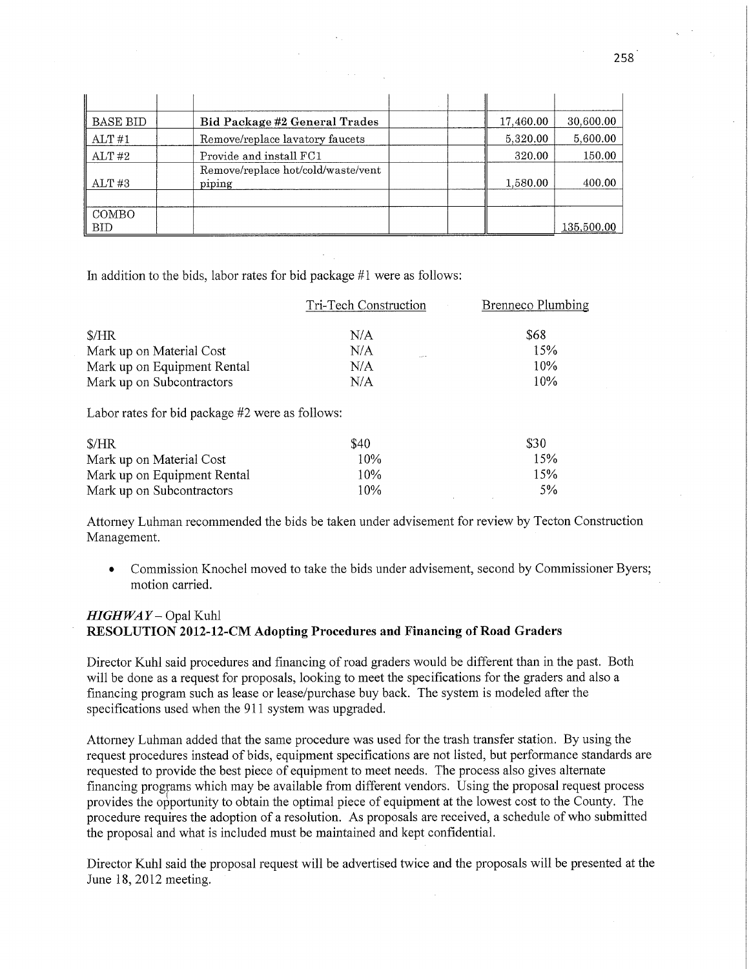| BASE BID            | Bid Package #2 General Trades                | 17,460.00 | 30,600.00  |
|---------------------|----------------------------------------------|-----------|------------|
| ALT#1               | Remove/replace lavatory faucets              | 5,320.00  | 5,600.00   |
| ALT#2               | Provide and install FC1                      | 320.00    | 150.00     |
| ALT#3               | Remove/replace hot/cold/waste/vent<br>piping | 1,580.00  | 400.00     |
| COMBO<br><b>BID</b> |                                              |           | 135,500.00 |

In addition to the bids, labor rates for bid package #1 were as follows:

|                             | Tri-Tech Construction | Brenneco Plumbing |
|-----------------------------|-----------------------|-------------------|
| $\frac{S}{HR}$              | N/A                   | \$68              |
| Mark up on Material Cost    | N/A                   | 15%               |
| Mark up on Equipment Rental | N/A                   | 10%               |
| Mark up on Subcontractors   | N/A                   | 10%               |

Labor rates for bid package #2 were as follows:

| \$/HR                       | \$40 | <b>S30</b> |
|-----------------------------|------|------------|
| Mark up on Material Cost    | 10%  | 15%        |
| Mark up on Equipment Rental | 10%  | 15%        |
| Mark up on Subcontractors   | 10%  | .5%        |

Attorney Luhman recommended the bids be taken under advisement for review by Tecton Construction Management.

*0* Commission Knochel moved to take the bids under advisement, second by Commissioner Byers; motion carried.

# *HIGHWAY* — Opal Kuhl **RESOLUTION 2012-12-CM Adopting Procedures** and **Financing** of **Road Graders**

Director Kuhl said procedures and financing of road graders would be different than in the past. Both will be done as a request for proposals, looking to meet the specifications for the graders and also a financing program such as lease or lease/purchase buy back. The system is modeled after the specifications used when the 911 system was upgraded.

Attorney Luhman added that the same procedure was used for the trash transfer station. By using the request procedures instead of bids, equipment specifications are not listed, but performance standards are requested to provide the best piece of equipment to meet needs. The process also gives alternate financing proggams which may be available from different vendors. Using the proposal request process provides the opportunity to obtain the optimal piece of equipment at the lowest cost to the County. The procedure requires the adoption of a resolution. As proposals are received, a schedule of who submitted the proposal and what is included must be maintained and kept confidential.

Director Kuhl said the proposal request will be advertised twice and the proposals will be presented at the June 18, 2012 meeting.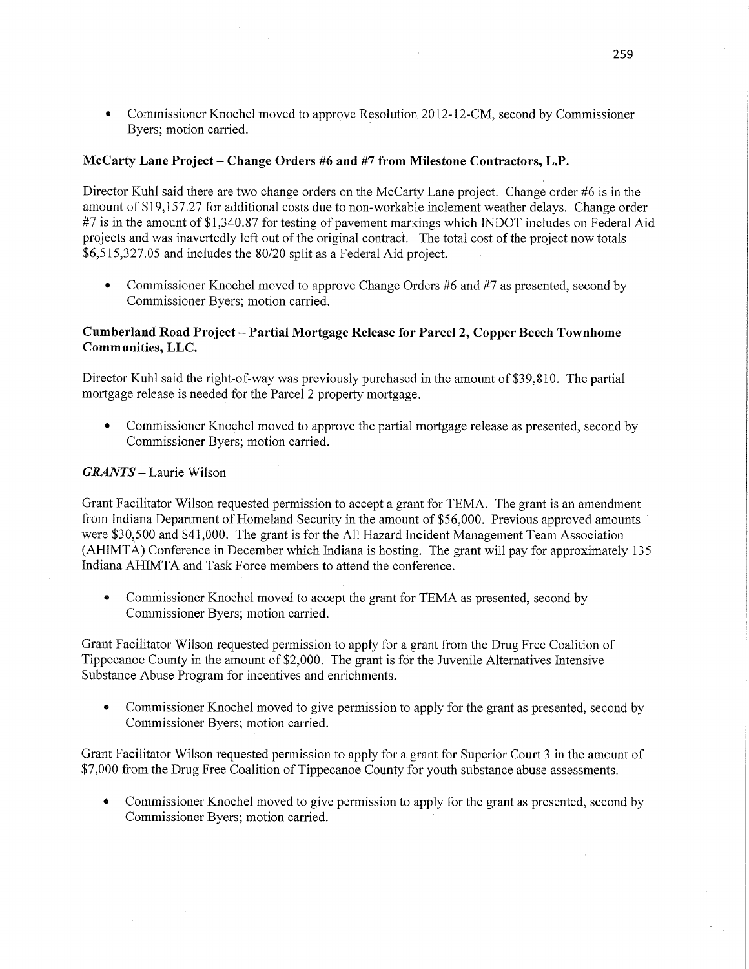Commissioner Knochel moved to approve Resolution 2012-12-CM, second by Commissioner Byers; **motion carried.** 

# **McCarty Lane Project** *—* **Change Orders** #6 and #7 **from** Milestone **Contractors, L.P.**

Director Kuhl said there are two change orders on the McCarty Lane project. Change order #6 is in the amount of \$19,157.27 for additional costs due to non-workable inclement weather delays. Change order #7 is in the amount of \$1,340.87 for testing of pavement markings which INDOT includes on Federal Aid projects and was inavertedly left out of the original contract. The total cost of the project now totals \$6,515,327.05 and includes the 80/20 split as a Federal Aid project.

• Commissioner Knochel moved to approve Change Orders #6 and #7 as presented, second by Commissioner Byers; motion carried.

## **Cumberland Road Project— —Partial Mortgage Release** for **Parcel** 2, **Copper Beech Townhome Communities,** LLC

Director Kuhl said the right-of-way was previously purchased in the amount of \$39,810. The partial mortgage release is needed for the Parcel **2** property mortgage.

**0** Commissioner Knochel moved to approve the partial mortgage release as presented, second by . Commissioner Byers; motion carried.

## *GRANTS —* Laurie Wilson

Grant Facilitator Wilson requested permission to accept <sup>a</sup>grant for TEMA. The grant is an **amendment**  from Indiana Department of Homeland Security in the amount of \$56,000. Previous approved amounts ' were \$30,500 and \$41,000. The grant is for the All Hazard Incident Management Team Association (AHIMTA) Conference in December which Indiana is hosting. The grant will pay for approximately 135 Indiana AHIMTA and Task Force members to attend the conference.

**0** Comniissioner Knochel moved to accept the **grant** for TEMA as presented, **second** by Commissioner Byers; motion carried.

Grant Facilitator Wilson requested permission to apply for **a** grant from the Drug Free Coalition of Tippecanoe County in the amount of **\$2,000.** The grant is for the Juvenile Alternatives **Intensive**  Substance Abuse Program for incentives and enrichments.

**0** Commissioner Knochel moved to give permission to apply for the grant as presented, second by Commissioner Byers; motion carried.

Grant Facilitator Wilson requested permission to apply for a grant for Superior Court 3 in the amount of \$7,000 from the Drug Free Coalition of Tippecanoe County for youth substance abuse assessments.

**0** Commissioner Knochel moved to give permission to apply for the grant as presented, second by Commissioner Byers; motion carried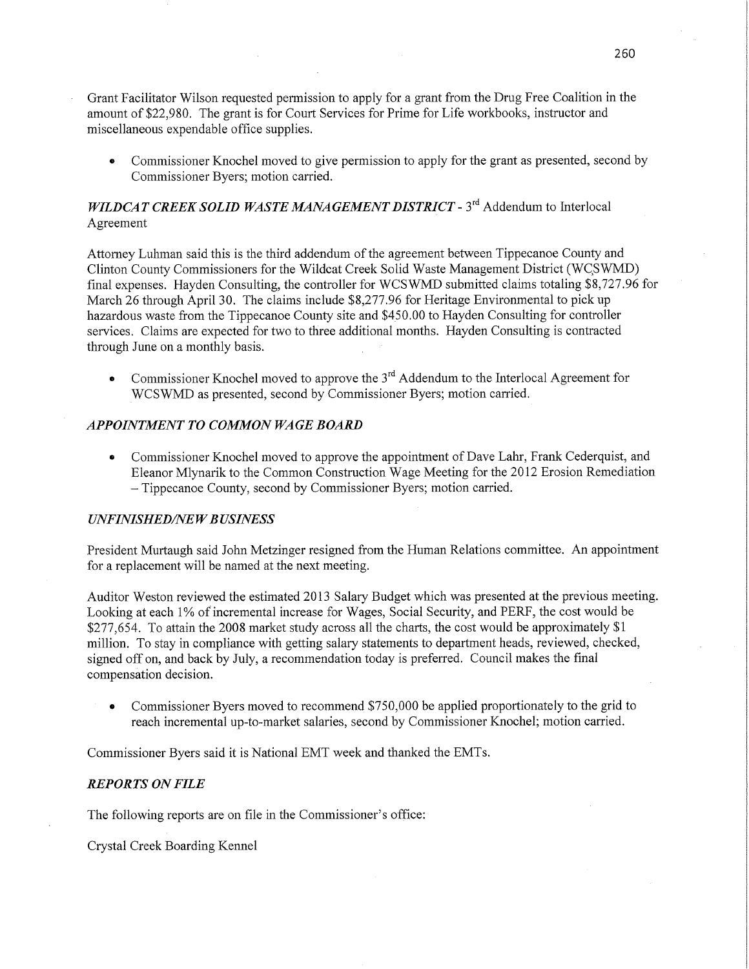- Grant Facilitator Wilson requested permission to apply for a grant from the Drug Free Coalition in the amount of **\$22,980.** The grant is for Court Services for Prime for Life workbooks, instructor and miscellaneous expendable office supplies.
	- **0** Commissioner Knochel moved to give permission to apply for the grant as presented, second by Commissioner Byers; motion carried.

# *WILDCAT CREEK SOLID WASTE MANAGEMENT DISTRICT* - 3<sup>rd</sup> Addendum to Interlocal Agreement

Attorney Luhman said this is the third addendum of the agreement between Tippecanoe County and Clinton County Commissioners for the Wildcat Creek Solid Waste Management District (WCSWMD) final expenses. Hayden Consulting, the controller for WCSWMD submitted claims totaling \$8,727.96 for March 26 through April 30. The claims include \$8,277.96 for Heritage Environmental to pick up hazardous waste from the Tippecanoe County site and \$450.00 to Hayden Consulting for controller services. Claims are expected for two to three additional months. Hayden Consulting is contracted through June on a monthly basis.

**0** Commissioner Knochel moved to approve the 3rd Addendum to the Interlocal Agreement for WCSWMD as presented, second by Commissioner Byers; motion carried.

#### *APPOINTMENT TO COMMON WAGE BOARD*

**-** Commissioner Knochel moved to approve the appointment of Dave Lahr, Frank Cederquist, and Eleanor Mlynarik to the Common Construction Wage Meeting for the 2012 Erosion Remediation *—* Tippecanoe County, second by Commissioner Byers; motion carried.

#### *UNFINISHEDflVE W B USINESS*

President Murtaugh said John Metzinger resigned from the Human Relations committee. An appointment for a replacement will be named at the next meeting.

Auditor Weston reviewed the estimated 2013 Salary Budget which was presented at the previous meeting. Looking at each 1% of incremental increase for Wages, Social Security, and PERF, the cost would be \$277,654. To attain the 2008 market study across all the charts, the cost would be approximately \$1 million. To stay in compliance with getting salary statements to department heads, reviewed, checked, signed off on, and back by July, a recommendation today is preferred. Council makes the final compensation decision.

**0** Commissioner Byers moved to recommend \$750,000 be applied proportionately to the grid to **reach** incremental up-to-market salaries, second by Commissioner Knochel; **motion** carried.

Commissioner Byers said it is National EMT week and thanked the EMTs.

#### *REPORTS* ON *FILE*

The following reports are on file in the Commissioner's office:

Crystal Creek Boarding Kennel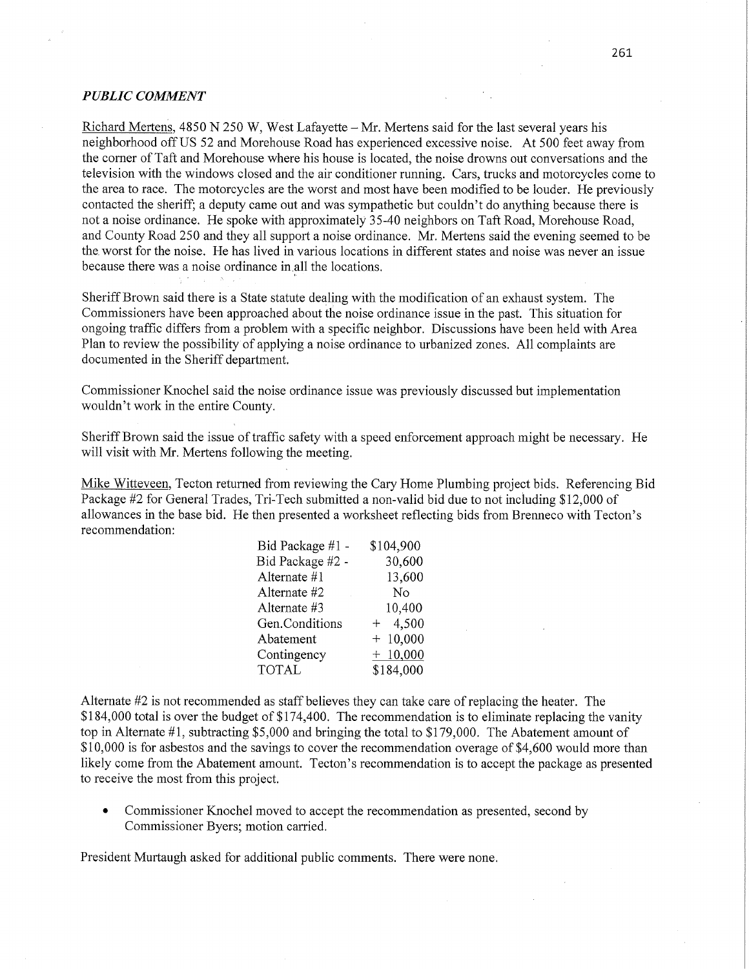#### $PUBLIC$  *COMMENT*

Richard Mertens, 4850 N 250 W, West Lafayette **—** Mr. Mertens said for the last several years his neighborhood off US 52 and Morehouse Road has experienced excessive noise. At 500 feet away from the corner of Taft and Morehouse where his house is located, the noise drowns out conversations and the television with the windows closed and the air conditioner running. Cars, trucks and motorcycles come to the area to **race.** The motorcycles are the worst and most have been modified to be louder. He previously contacted the sheriff; a deputy came out and was sympathetic but couldn't do anything because there is not a noise ordinance. He spoke with approximately 35-40 neighbors on Taft Road, Morehouse Road, and County Road 250 and they all support a noise ordinance. Mr. Mertens said the evening seemed to be the worst for the noise. He has lived in various locations in different states and noise was never an issue because there was a noise ordinance in all the locations.

Sheriff Brown said there is a State statute dealing with the modification of an exhaust system. The Commissioners have been approached about the noise ordinance issue in the past. This situation for ongoing traffic differs from a problem with a specific neighbor. Discussions have been held with Area **Plan** to review the possibility'of applying a noise ordinance to urbanized zones. All complaints are documented in the Sheriff department.

Commissioner Knochel said the noise ordinance issue was previously discussed but implementation wouldn't work in the entire County.

Sheriff Brown said the issue of traffic safety with a speed enforcement approach might be necessary. He will visit with Mr. Mertens following the meeting.

Mike Witteveen, Tecton returned from reviewing the Cary Home Plumbing project bids. Referencing Bid Package #2 for General Trades, Tri-Tech submitted a non-valid bid due to not inciuding \$12,000 of allowances in the base bid. He then presented a worksheet reflecting bids from Brenneco with Tecton's recommendation:

| Bid Package #1 - | \$104,900 |
|------------------|-----------|
| Bid Package #2 - | 30,600    |
| Alternate #1     | 13,600    |
| Alternate #2     | No        |
| Alternate #3     | 10,400    |
| Gen.Conditions   | $+ 4,500$ |
| Abatement        | $+10,000$ |
| Contingency      | $+10,000$ |
| <b>TOTAL</b>     | \$184,000 |

Alternate #2 is not recommended as staff believes they can take care of replacing the heater. The \$184,000 total is over the budget of \$174,400. The recommendation is to eliminate replacing the vanity top in Alternate #1, subtracting \$5,000 and bringing the total to \$179,000. The Abatement amount of \$10,000 is for asbestos and the savings to cover the recommendation overage of \$4,600 would more than likely come from the Abatement amount. Tecton's recommendation is to accept the package as presented to receive the most from this project.

*0* Commissioner Knochel moved to accept the recommendation as presented, second by Commissioner Byers; motion carried.

President Murtaugh asked for additional public comments. There were none.